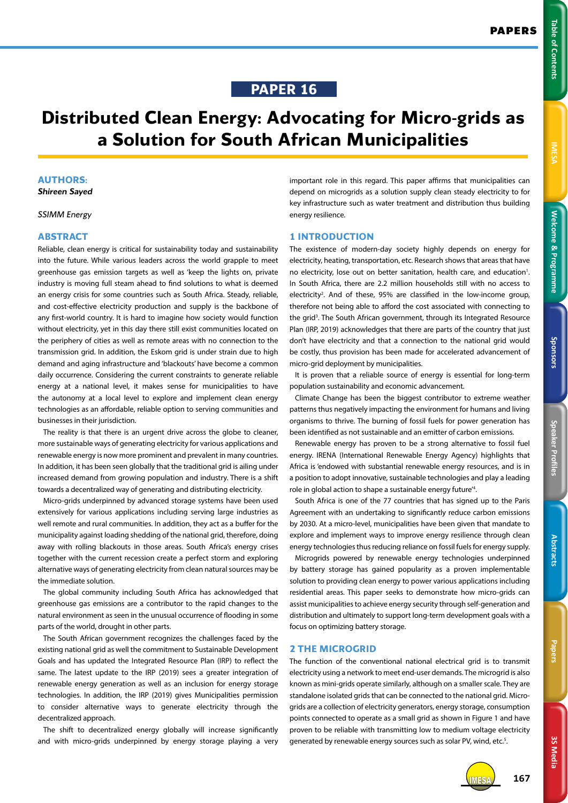# **PAPER 16**

# **Distributed Clean Energy: Advocating for Micro-grids as a Solution for South African Municipalities**

# **AUTHORS:**

*Shireen Sayed*

# *SSIMM Energy*

#### **ABSTRACT**

Reliable, clean energy is critical for sustainability today and sustainability into the future. While various leaders across the world grapple to meet greenhouse gas emission targets as well as 'keep the lights on, private industry is moving full steam ahead to find solutions to what is deemed an energy crisis for some countries such as South Africa. Steady, reliable, and cost-effective electricity production and supply is the backbone of any first-world country. It is hard to imagine how society would function without electricity, yet in this day there still exist communities located on the periphery of cities as well as remote areas with no connection to the transmission grid. In addition, the Eskom grid is under strain due to high demand and aging infrastructure and 'blackouts' have become a common daily occurrence. Considering the current constraints to generate reliable energy at a national level, it makes sense for municipalities to have the autonomy at a local level to explore and implement clean energy technologies as an affordable, reliable option to serving communities and businesses in their jurisdiction.

The reality is that there is an urgent drive across the globe to cleaner, more sustainable ways of generating electricity for various applications and renewable energy is now more prominent and prevalent in many countries. In addition, it has been seen globally that the traditional grid is ailing under increased demand from growing population and industry. There is a shift towards a decentralized way of generating and distributing electricity.

Micro-grids underpinned by advanced storage systems have been used extensively for various applications including serving large industries as well remote and rural communities. In addition, they act as a buffer for the municipality against loading shedding of the national grid, therefore, doing away with rolling blackouts in those areas. South Africa's energy crises together with the current recession create a perfect storm and exploring alternative ways of generating electricity from clean natural sources may be the immediate solution.

The global community including South Africa has acknowledged that greenhouse gas emissions are a contributor to the rapid changes to the natural environment as seen in the unusual occurrence of flooding in some parts of the world, drought in other parts.

The South African government recognizes the challenges faced by the existing national grid as well the commitment to Sustainable Development Goals and has updated the Integrated Resource Plan (IRP) to reflect the same. The latest update to the IRP (2019) sees a greater integration of renewable energy generation as well as an inclusion for energy storage technologies. In addition, the IRP (2019) gives Municipalities permission to consider alternative ways to generate electricity through the decentralized approach.

The shift to decentralized energy globally will increase significantly and with micro-grids underpinned by energy storage playing a very important role in this regard. This paper affirms that municipalities can depend on microgrids as a solution supply clean steady electricity to for key infrastructure such as water treatment and distribution thus building energy resilience.

#### **1 INTRODUCTION**

The existence of modern-day society highly depends on energy for electricity, heating, transportation, etc. Research shows that areas that have no electricity, lose out on better sanitation, health care, and education<sup>1</sup>. In South Africa, there are 2.2 million households still with no access to electricity<sup>2</sup>. And of these, 95% are classified in the low-income group, therefore not being able to afford the cost associated with connecting to the grid<sup>3</sup>. The South African government, through its Integrated Resource Plan (IRP, 2019) acknowledges that there are parts of the country that just don't have electricity and that a connection to the national grid would be costly, thus provision has been made for accelerated advancement of micro-grid deployment by municipalities.

It is proven that a reliable source of energy is essential for long-term population sustainability and economic advancement.

Climate Change has been the biggest contributor to extreme weather patterns thus negatively impacting the environment for humans and living organisms to thrive. The burning of fossil fuels for power generation has been identified as not sustainable and an emitter of carbon emissions.

Renewable energy has proven to be a strong alternative to fossil fuel energy. IRENA (International Renewable Energy Agency) highlights that Africa is 'endowed with substantial renewable energy resources, and is in a position to adopt innovative, sustainable technologies and play a leading role in global action to shape a sustainable energy future'4 .

South Africa is one of the 77 countries that has signed up to the Paris Agreement with an undertaking to significantly reduce carbon emissions by 2030. At a micro-level, municipalities have been given that mandate to explore and implement ways to improve energy resilience through clean energy technologies thus reducing reliance on fossil fuels for energy supply.

Microgrids powered by renewable energy technologies underpinned by battery storage has gained popularity as a proven implementable solution to providing clean energy to power various applications including residential areas. This paper seeks to demonstrate how micro-grids can assist municipalities to achieve energy security through self-generation and distribution and ultimately to support long-term development goals with a focus on optimizing battery storage.

## **2 THE MICROGRID**

The function of the conventional national electrical grid is to transmit electricity using a network to meet end-user demands. The microgrid is also known as mini-grids operate similarly, although on a smaller scale. They are standalone isolated grids that can be connected to the national grid. Microgrids are a collection of electricity generators, energy storage, consumption points connected to operate as a small grid as shown in Figure 1 and have proven to be reliable with transmitting low to medium voltage electricity generated by renewable energy sources such as solar PV, wind, etc.<sup>5</sup>.

**Speaker Profiles Sponsors**

Speaker Profiles

Sponsors



IMESA **167**

Welcome & Programme

**Table of Contents**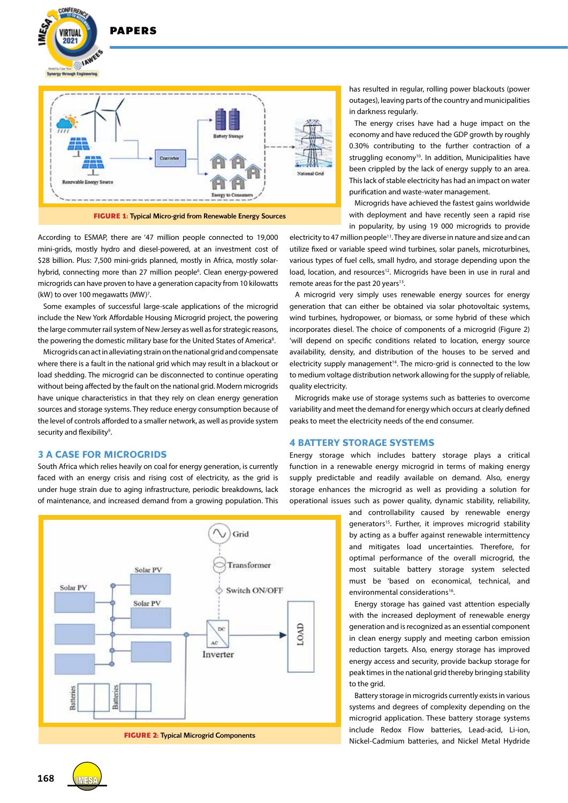

According to ESMAP, there are '47 million people connected to 19,000 mini-grids, mostly hydro and diesel-powered, at an investment cost of \$28 billion. Plus: 7,500 mini-grids planned, mostly in Africa, mostly solarhybrid, connecting more than 27 million people<sup>6</sup>. Clean energy-powered microgrids can have proven to have a generation capacity from 10 kilowatts (kW) to over 100 megawatts (MW)<sup>7</sup>.

**DADEDS** 

**CONFEREN** 

VIRTUAL  $2021$ 

Some examples of successful large-scale applications of the microgrid include the New York Affordable Housing Microgrid project, the powering the large commuter rail system of New Jersey as well as for strategic reasons, the powering the domestic military base for the United States of America<sup>8</sup>.

Microgrids can act in alleviating strain on the national grid and compensate where there is a fault in the national grid which may result in a blackout or load shedding. The microgrid can be disconnected to continue operating without being affected by the fault on the national grid. Modern microgrids have unique characteristics in that they rely on clean energy generation sources and storage systems. They reduce energy consumption because of the level of controls afforded to a smaller network, as well as provide system security and flexibility<sup>9</sup>.

# **3 A CASE FOR MICROGRIDS**

South Africa which relies heavily on coal for energy generation, is currently faced with an energy crisis and rising cost of electricity, as the grid is under huge strain due to aging infrastructure, periodic breakdowns, lack of maintenance, and increased demand from a growing population. This



has resulted in regular, rolling power blackouts (power outages), leaving parts of the country and municipalities in darkness regularly.

The energy crises have had a huge impact on the economy and have reduced the GDP growth by roughly 0.30% contributing to the further contraction of a struggling economy<sup>10</sup>. In addition, Municipalities have been crippled by the lack of energy supply to an area. This lack of stable electricity has had an impact on water purification and waste-water management.

Microgrids have achieved the fastest gains worldwide with deployment and have recently seen a rapid rise in popularity, by using 19 000 microgrids to provide

electricity to 47 million people<sup>11</sup>. They are diverse in nature and size and can utilize fixed or variable speed wind turbines, solar panels, microturbines, various types of fuel cells, small hydro, and storage depending upon the load, location, and resources<sup>12</sup>. Microgrids have been in use in rural and remote areas for the past 20 years<sup>13</sup>.

A microgrid very simply uses renewable energy sources for energy generation that can either be obtained via solar photovoltaic systems, wind turbines, hydropower, or biomass, or some hybrid of these which incorporates diesel. The choice of components of a microgrid (Figure 2) 'will depend on specific conditions related to location, energy source availability, density, and distribution of the houses to be served and electricity supply management<sup>14</sup>. The micro-grid is connected to the low to medium voltage distribution network allowing for the supply of reliable, quality electricity.

Microgrids make use of storage systems such as batteries to overcome variability and meet the demand for energy which occurs at clearly defined peaks to meet the electricity needs of the end consumer.

## **4 BATTERY STORAGE SYSTEMS**

Energy storage which includes battery storage plays a critical function in a renewable energy microgrid in terms of making energy supply predictable and readily available on demand. Also, energy storage enhances the microgrid as well as providing a solution for operational issues such as power quality, dynamic stability, reliability,

> and controllability caused by renewable energy generators<sup>15</sup>. Further, it improves microgrid stability by acting as a buffer against renewable intermittency and mitigates load uncertainties. Therefore, for optimal performance of the overall microgrid, the most suitable battery storage system selected must be 'based on economical, technical, and environmental considerations<sup>16</sup>.

> Energy storage has gained vast attention especially with the increased deployment of renewable energy generation and is recognized as an essential component in clean energy supply and meeting carbon emission reduction targets. Also, energy storage has improved energy access and security, provide backup storage for peak times in the national grid thereby bringing stability to the grid.

> Battery storage in microgrids currently exists in various systems and degrees of complexity depending on the microgrid application. These battery storage systems include Redox Flow batteries, Lead-acid, Li-ion, Nickel-Cadmium batteries, and Nickel Metal Hydride

**168 IMES**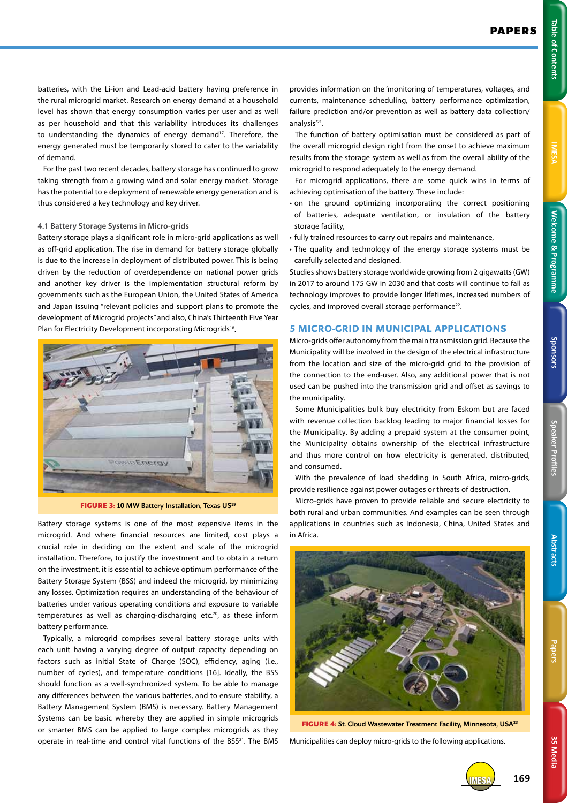**3S Media**

**3S Media** 

batteries, with the Li-ion and Lead-acid battery having preference in the rural microgrid market. Research on energy demand at a household level has shown that energy consumption varies per user and as well as per household and that this variability introduces its challenges to understanding the dynamics of energy demand<sup>17</sup>. Therefore, the energy generated must be temporarily stored to cater to the variability of demand.

For the past two recent decades, battery storage has continued to grow taking strength from a growing wind and solar energy market. Storage has the potential to e deployment of renewable energy generation and is thus considered a key technology and key driver.

#### **4.1 Battery Storage Systems in Micro-grids**

Battery storage plays a significant role in micro-grid applications as well as off-grid application. The rise in demand for battery storage globally is due to the increase in deployment of distributed power. This is being driven by the reduction of overdependence on national power grids and another key driver is the implementation structural reform by governments such as the European Union, the United States of America and Japan issuing "relevant policies and support plans to promote the development of Microgrid projects" and also, China's Thirteenth Five Year Plan for Electricity Development incorporating Microgrids<sup>18</sup>.



**FIGURE 3: 10 MW Battery Installation, Texas US<sup>19</sup>** 

Battery storage systems is one of the most expensive items in the microgrid. And where financial resources are limited, cost plays a crucial role in deciding on the extent and scale of the microgrid installation. Therefore, to justify the investment and to obtain a return on the investment, it is essential to achieve optimum performance of the Battery Storage System (BSS) and indeed the microgrid, by minimizing any losses. Optimization requires an understanding of the behaviour of batteries under various operating conditions and exposure to variable temperatures as well as charging-discharging etc.<sup>20</sup>, as these inform battery performance.

Typically, a microgrid comprises several battery storage units with each unit having a varying degree of output capacity depending on factors such as initial State of Charge (SOC), efficiency, aging (i.e., number of cycles), and temperature conditions [16]. Ideally, the BSS should function as a well-synchronized system. To be able to manage any differences between the various batteries, and to ensure stability, a Battery Management System (BMS) is necessary. Battery Management Systems can be basic whereby they are applied in simple microgrids or smarter BMS can be applied to large complex microgrids as they operate in real-time and control vital functions of the BSS<sup>21</sup>. The BMS

provides information on the 'monitoring of temperatures, voltages, and currents, maintenance scheduling, battery performance optimization, failure prediction and/or prevention as well as battery data collection/ analysis'21.

The function of battery optimisation must be considered as part of the overall microgrid design right from the onset to achieve maximum results from the storage system as well as from the overall ability of the microgrid to respond adequately to the energy demand.

For microgrid applications, there are some quick wins in terms of achieving optimisation of the battery. These include:

- on the ground optimizing incorporating the correct positioning of batteries, adequate ventilation, or insulation of the battery storage facility,
- fully trained resources to carry out repairs and maintenance,
- The quality and technology of the energy storage systems must be carefully selected and designed.

Studies shows battery storage worldwide growing from 2 gigawatts (GW) in 2017 to around 175 GW in 2030 and that costs will continue to fall as technology improves to provide longer lifetimes, increased numbers of cycles, and improved overall storage performance<sup>22</sup>.

#### **5 MICRO-GRID IN MUNICIPAL APPLICATIONS**

Micro-grids offer autonomy from the main transmission grid. Because the Municipality will be involved in the design of the electrical infrastructure from the location and size of the micro-grid grid to the provision of the connection to the end-user. Also, any additional power that is not used can be pushed into the transmission grid and offset as savings to the municipality.

Some Municipalities bulk buy electricity from Eskom but are faced with revenue collection backlog leading to major financial losses for the Municipality. By adding a prepaid system at the consumer point, the Municipality obtains ownership of the electrical infrastructure and thus more control on how electricity is generated, distributed, and consumed.

With the prevalence of load shedding in South Africa, micro-grids, provide resilience against power outages or threats of destruction.

Micro-grids have proven to provide reliable and secure electricity to both rural and urban communities. And examples can be seen through applications in countries such as Indonesia, China, United States and in Africa.



**FIGURE 4: St. Cloud Wastewater Treatment Facility, Minnesota, USA<sup>23</sup>** 

Municipalities can deploy micro-grids to the following applications.

IMESA **169**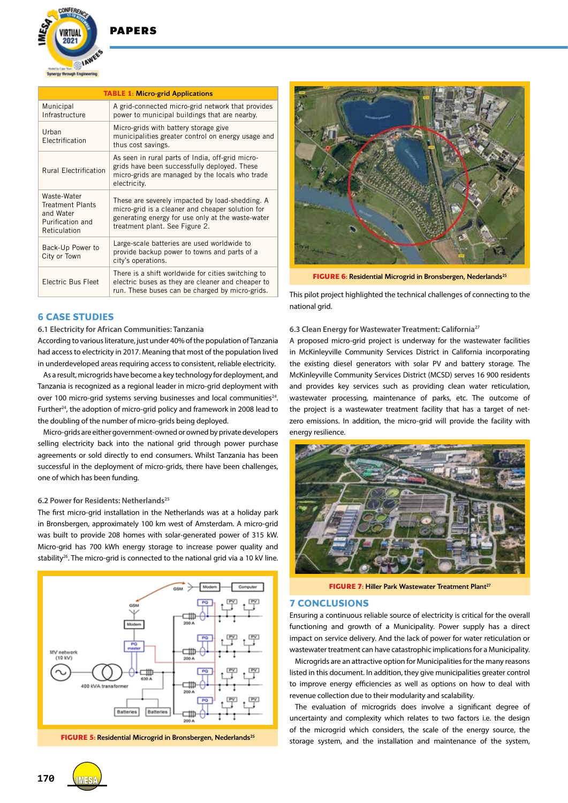

# **DADEDS**

| <b>TABLE 1: Micro-grid Applications</b>                                                 |                                                                                                                                                                                            |
|-----------------------------------------------------------------------------------------|--------------------------------------------------------------------------------------------------------------------------------------------------------------------------------------------|
| Municipal<br>Infrastructure                                                             | A grid-connected micro-grid network that provides<br>power to municipal buildings that are nearby.                                                                                         |
| Urban<br>Electrification                                                                | Micro-grids with battery storage give<br>municipalities greater control on energy usage and<br>thus cost savings.                                                                          |
| <b>Rural Electrification</b>                                                            | As seen in rural parts of India, off-grid micro-<br>grids have been successfully deployed. These<br>micro-grids are managed by the locals who trade<br>electricity.                        |
| Waste-Water<br><b>Treatment Plants</b><br>and Water<br>Purification and<br>Reticulation | These are severely impacted by load-shedding. A<br>micro-grid is a cleaner and cheaper solution for<br>generating energy for use only at the waste-water<br>treatment plant. See Figure 2. |
| Back-Up Power to<br>City or Town                                                        | Large-scale batteries are used worldwide to<br>provide backup power to towns and parts of a<br>city's operations.                                                                          |
| Electric Bus Fleet                                                                      | There is a shift worldwide for cities switching to<br>electric buses as they are cleaner and cheaper to<br>run. These buses can be charged by micro-grids.                                 |

# **6 CASE STUDIES**

# **6.1 Electricity for African Communities: Tanzania**

According to various literature, just under 40% of the population of Tanzania had access to electricity in 2017. Meaning that most of the population lived in underdeveloped areas requiring access to consistent, reliable electricity.

As a result, microgrids have become a key technology for deployment, and Tanzania is recognized as a regional leader in micro-grid deployment with over 100 micro-grid systems serving businesses and local communities<sup>24</sup>. Further<sup>24</sup>, the adoption of micro-grid policy and framework in 2008 lead to the doubling of the number of micro-grids being deployed.

Micro-grids are either government-owned or owned by private developers selling electricity back into the national grid through power purchase agreements or sold directly to end consumers. Whilst Tanzania has been successful in the deployment of micro-grids, there have been challenges, one of which has been funding.

#### **6.2 Power for Residents: Netherlands25**

The first micro-grid installation in the Netherlands was at a holiday park in Bronsbergen, approximately 100 km west of Amsterdam. A micro-grid was built to provide 208 homes with solar-generated power of 315 kW. Micro-grid has 700 kWh energy storage to increase power quality and stability<sup>26</sup>. The micro-grid is connected to the national grid via a 10 kV line.





**FIGURE 6:** Residential Microgrid in Bronsbergen, Nederlands<sup>25</sup>

This pilot project highlighted the technical challenges of connecting to the national grid.

#### **6.3 Clean Energy for Wastewater Treatment: California27**

A proposed micro-grid project is underway for the wastewater facilities in McKinleyville Community Services District in California incorporating the existing diesel generators with solar PV and battery storage. The McKinleyville Community Services District (MCSD) serves 16 900 residents and provides key services such as providing clean water reticulation, wastewater processing, maintenance of parks, etc. The outcome of the project is a wastewater treatment facility that has a target of netzero emissions. In addition, the micro-grid will provide the facility with energy resilience.



**FIGURE 7: Hiller Park Wastewater Treatment Plant<sup>27</sup>** 

#### **7 CONCLUSIONS**

Ensuring a continuous reliable source of electricity is critical for the overall functioning and growth of a Municipality. Power supply has a direct impact on service delivery. And the lack of power for water reticulation or wastewater treatment can have catastrophic implications for a Municipality.

Microgrids are an attractive option for Municipalities for the many reasons listed in this document. In addition, they give municipalities greater control to improve energy efficiencies as well as options on how to deal with revenue collection due to their modularity and scalability.

The evaluation of microgrids does involve a significant degree of uncertainty and complexity which relates to two factors i.e. the design of the microgrid which considers, the scale of the energy source, the **FIGURE 5: Residential Microgrid in Bronsbergen, Nederlands<sup>25</sup> storage system, and the installation and maintenance of the system,**